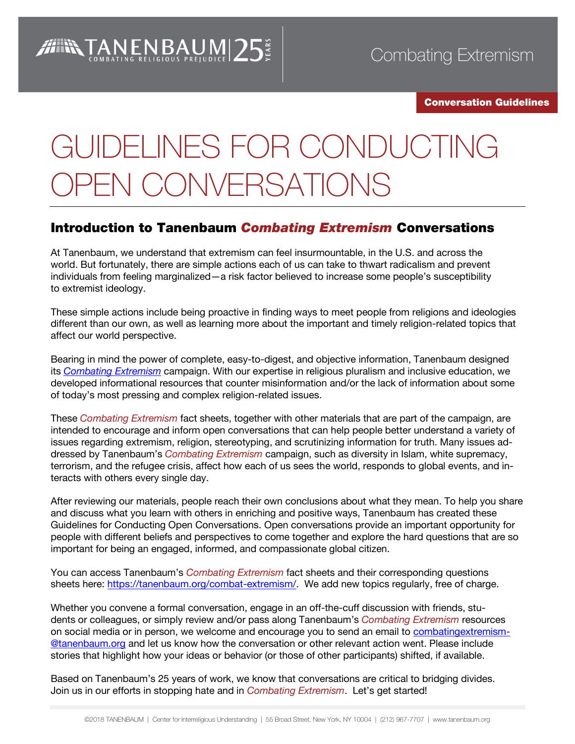#### Conversation Guidelines

# GUIDELINES FOR CONDUCTING OPEN CONVERSATIONS

# Introduction to Tanenbaum *Combating Extremism* Conversations

At Tanenbaum, we understand that extremism can feel insurmountable, in the U.S. and across the world. But fortunately, there are simple actions each of us can take to thwart radicalism and prevent individuals from feeling marginalized—a risk factor believed to increase some people's susceptibility to extremist ideology.

These simple actions include being proactive in finding ways to meet people from religions and ideologies different than our own, as well as learning more about the important and timely religion-related topics that affect our world perspective.

Bearing in mind the power of complete, easy-to-digest, and objective information, Tanenbaum designed its *[Combating Extremism](https://tanenbaum.org/combat-extremism/)* campaign. With our expertise in religious pluralism and inclusive education, we developed informational resources that counter misinformation and/or the lack of information about some of today's most pressing and complex religion-related issues.

These *Combating Extremism* fact sheets, together with other materials that are part of the campaign, are intended to encourage and inform open conversations that can help people better understand a variety of issues regarding extremism, religion, stereotyping, and scrutinizing information for truth. Many issues addressed by Tanenbaum's *Combating Extremism* campaign, such as diversity in Islam, white supremacy, terrorism, and the refugee crisis, affect how each of us sees the world, responds to global events, and interacts with others every single day.

After reviewing our materials, people reach their own conclusions about what they mean. To help you share and discuss what you learn with others in enriching and positive ways, Tanenbaum has created these Guidelines for Conducting Open Conversations. Open conversations provide an important opportunity for people with different beliefs and perspectives to come together and explore the hard questions that are so important for being an engaged, informed, and compassionate global citizen.

You can access Tanenbaum's *Combating Extremism* fact sheets and their corresponding questions sheets here: [https://tanenbaum.org/combat-extremism/.](https://tanenbaum.org/combat-extremism/) We add new topics regularly, free of charge.

Whether you convene a formal conversation, engage in an off-the-cuff discussion with friends, students or colleagues, or simply review and/or pass along Tanenbaum's *Combating Extremism* resources on social media or in person, we welcome and encourage you to send an email to [combatingextremism-](mailto:combatingextremism-@tanenbaum.org) [@tanenbaum.org](mailto:combatingextremism-@tanenbaum.org) and let us know how the conversation or other relevant action went. Please include stories that highlight how your ideas or behavior (or those of other participants) shifted, if available.

Based on Tanenbaum's 25 years of work, we know that conversations are critical to bridging divides. Join us in our efforts in stopping hate and in *Combating Extremism*. Let's get started!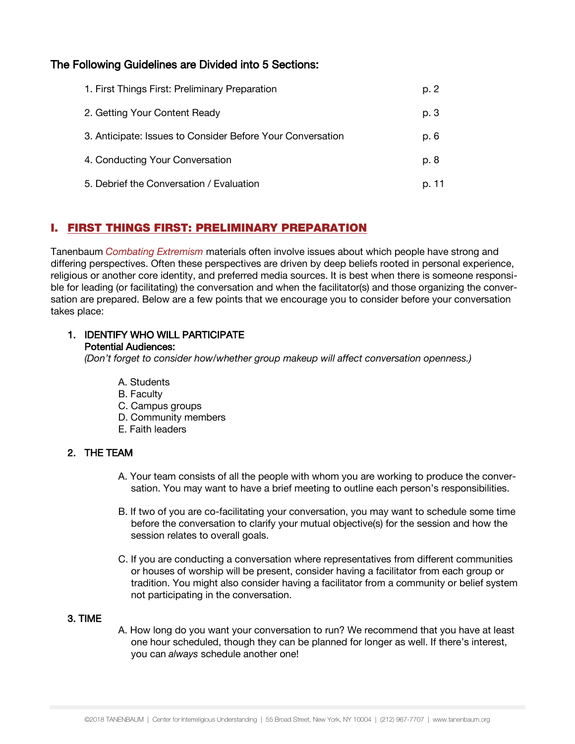# The Following Guidelines are Divided into 5 Sections:

| 1. First Things First: Preliminary Preparation             | p. 2  |
|------------------------------------------------------------|-------|
| 2. Getting Your Content Ready                              | p. 3  |
| 3. Anticipate: Issues to Consider Before Your Conversation | p. 6  |
| 4. Conducting Your Conversation                            | p. 8  |
| 5. Debrief the Conversation / Evaluation                   | p. 11 |

# I. FIRST THINGS FIRST: PRELIMINARY PREPARATION

Tanenbaum *Combating Extremism* materials often involve issues about which people have strong and differing perspectives. Often these perspectives are driven by deep beliefs rooted in personal experience, religious or another core identity, and preferred media sources. It is best when there is someone responsible for leading (or facilitating) the conversation and when the facilitator(s) and those organizing the conversation are prepared. Below are a few points that we encourage you to consider before your conversation takes place:

### 1. IDENTIFY WHO WILL PARTICIPATE Potential Audiences:

*(Don't forget to consider how/whether group makeup will affect conversation openness.)*

- A. Students
- B. Faculty
- C. Campus groups
- D. Community members
- E. Faith leaders

## 2. THE TEAM

- A. Your team consists of all the people with whom you are working to produce the conversation. You may want to have a brief meeting to outline each person's responsibilities.
- B. If two of you are co-facilitating your conversation, you may want to schedule some time before the conversation to clarify your mutual objective(s) for the session and how the session relates to overall goals.
- C. If you are conducting a conversation where representatives from different communities or houses of worship will be present, consider having a facilitator from each group or tradition. You might also consider having a facilitator from a community or belief system not participating in the conversation.

## 3. TIME

A. How long do you want your conversation to run? We recommend that you have at least one hour scheduled, though they can be planned for longer as well. If there's interest, you can *always* schedule another one!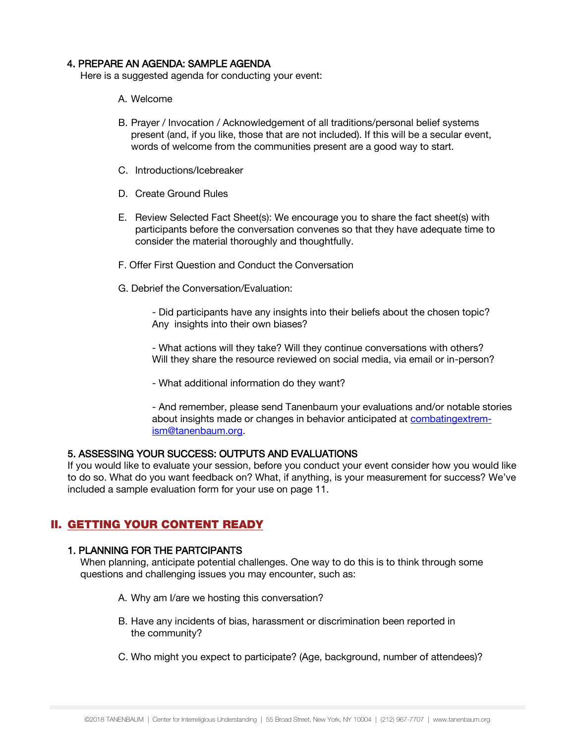#### 4. PREPARE AN AGENDA: SAMPLE AGENDA

Here is a suggested agenda for conducting your event:

- A. Welcome
- B. Prayer / Invocation / Acknowledgement of all traditions/personal belief systems present (and, if you like, those that are not included). If this will be a secular event, words of welcome from the communities present are a good way to start.
- C. Introductions/Icebreaker
- D. Create Ground Rules
- E. Review Selected Fact Sheet(s): We encourage you to share the fact sheet(s) with participants before the conversation convenes so that they have adequate time to consider the material thoroughly and thoughtfully.
- F. Offer First Question and Conduct the Conversation
- G. Debrief the Conversation/Evaluation:

- Did participants have any insights into their beliefs about the chosen topic? Any insights into their own biases?

- What actions will they take? Will they continue conversations with others? Will they share the resource reviewed on social media, via email or in-person?

- What additional information do they want?

- And remember, please send Tanenbaum your evaluations and/or notable stories about insights made or changes in behavior anticipated at [combatingextrem](mailto:combatingextremism@tanenbaum.org)[ism@tanenbaum.org.](mailto:combatingextremism@tanenbaum.org)

## 5. ASSESSING YOUR SUCCESS: OUTPUTS AND EVALUATIONS

If you would like to evaluate your session, before you conduct your event consider how you would like to do so. What do you want feedback on? What, if anything, is your measurement for success? We've included a sample evaluation form for your use on page 11.

## II. GETTING YOUR CONTENT READY

#### 1. PLANNING FOR THE PARTCIPANTS

When planning, anticipate potential challenges. One way to do this is to think through some questions and challenging issues you may encounter, such as:

- A. Why am I/are we hosting this conversation?
- B. Have any incidents of bias, harassment or discrimination been reported in the community?
- C. Who might you expect to participate? (Age, background, number of attendees)?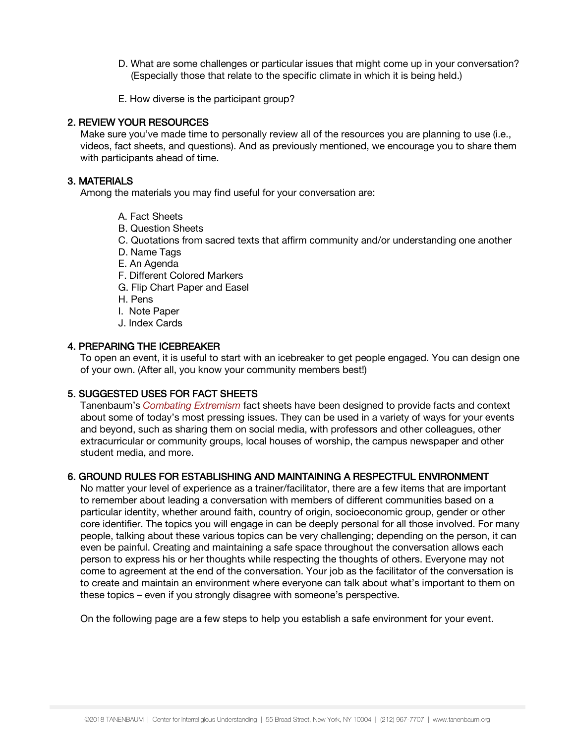- D. What are some challenges or particular issues that might come up in your conversation? (Especially those that relate to the specific climate in which it is being held.)
- E. How diverse is the participant group?

#### 2. REVIEW YOUR RESOURCES

Make sure you've made time to personally review all of the resources you are planning to use (i.e., videos, fact sheets, and questions). And as previously mentioned, we encourage you to share them with participants ahead of time.

#### 3. MATERIALS

Among the materials you may find useful for your conversation are:

- A. Fact Sheets
- B. Question Sheets
- C. Quotations from sacred texts that affirm community and/or understanding one another
- D. Name Tags
- E. An Agenda
- F. Different Colored Markers
- G. Flip Chart Paper and Easel
- H. Pens
- I. Note Paper
- J. Index Cards

#### 4. PREPARING THE ICEBREAKER

To open an event, it is useful to start with an icebreaker to get people engaged. You can design one of your own. (After all, you know your community members best!)

#### 5. SUGGESTED USES FOR FACT SHEETS

Tanenbaum's *Combating Extremism* fact sheets have been designed to provide facts and context about some of today's most pressing issues. They can be used in a variety of ways for your events and beyond, such as sharing them on social media, with professors and other colleagues, other extracurricular or community groups, local houses of worship, the campus newspaper and other student media, and more.

## 6. GROUND RULES FOR ESTABLISHING AND MAINTAINING A RESPECTFUL ENVIRONMENT

No matter your level of experience as a trainer/facilitator, there are a few items that are important to remember about leading a conversation with members of different communities based on a particular identity, whether around faith, country of origin, socioeconomic group, gender or other core identifier. The topics you will engage in can be deeply personal for all those involved. For many people, talking about these various topics can be very challenging; depending on the person, it can even be painful. Creating and maintaining a safe space throughout the conversation allows each person to express his or her thoughts while respecting the thoughts of others. Everyone may not come to agreement at the end of the conversation. Your job as the facilitator of the conversation is to create and maintain an environment where everyone can talk about what's important to them on these topics – even if you strongly disagree with someone's perspective.

On the following page are a few steps to help you establish a safe environment for your event.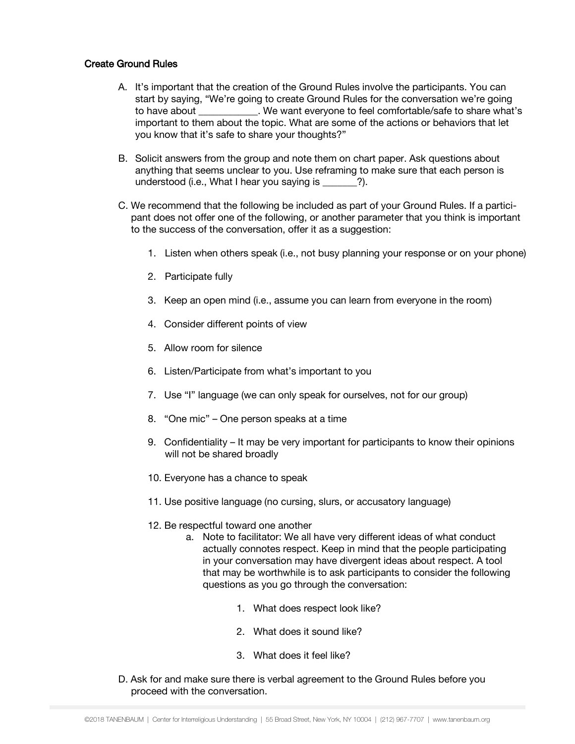#### Create Ground Rules

- A. It's important that the creation of the Ground Rules involve the participants. You can start by saying, "We're going to create Ground Rules for the conversation we're going to have about  $\blacksquare$  . We want everyone to feel comfortable/safe to share what's important to them about the topic. What are some of the actions or behaviors that let you know that it's safe to share your thoughts?"
- B. Solicit answers from the group and note them on chart paper. Ask questions about anything that seems unclear to you. Use reframing to make sure that each person is understood (i.e., What I hear you saying is  $\qquad$  ?).
- C. We recommend that the following be included as part of your Ground Rules. If a participant does not offer one of the following, or another parameter that you think is important to the success of the conversation, offer it as a suggestion:
	- 1. Listen when others speak (i.e., not busy planning your response or on your phone)
	- 2. Participate fully
	- 3. Keep an open mind (i.e., assume you can learn from everyone in the room)
	- 4. Consider different points of view
	- 5. Allow room for silence
	- 6. Listen/Participate from what's important to you
	- 7. Use "I" language (we can only speak for ourselves, not for our group)
	- 8. "One mic" One person speaks at a time
	- 9. Confidentiality It may be very important for participants to know their opinions will not be shared broadly
	- 10. Everyone has a chance to speak
	- 11. Use positive language (no cursing, slurs, or accusatory language)
	- 12. Be respectful toward one another
		- a. Note to facilitator: We all have very different ideas of what conduct actually connotes respect. Keep in mind that the people participating in your conversation may have divergent ideas about respect. A tool that may be worthwhile is to ask participants to consider the following questions as you go through the conversation:
			- 1. What does respect look like?
			- 2. What does it sound like?
			- 3. What does it feel like?
- D. Ask for and make sure there is verbal agreement to the Ground Rules before you proceed with the conversation.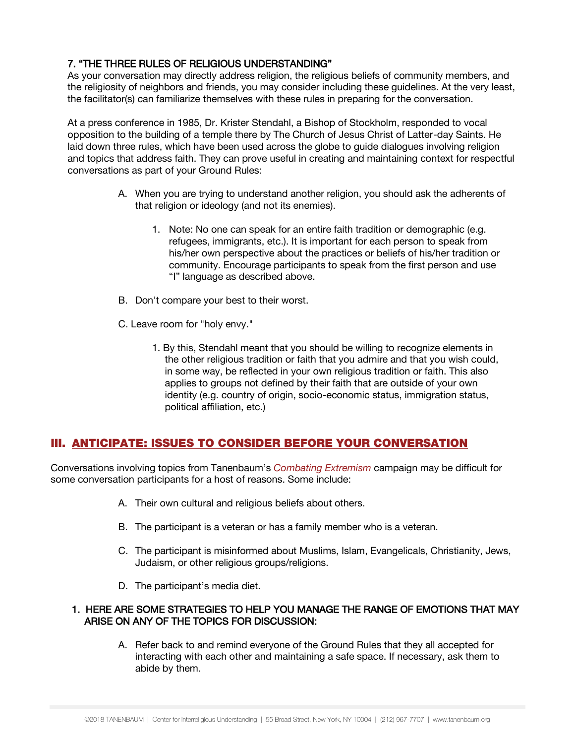## 7. "THE THREE RULES OF RELIGIOUS UNDERSTANDING"

As your conversation may directly address religion, the religious beliefs of community members, and the religiosity of neighbors and friends, you may consider including these guidelines. At the very least, the facilitator(s) can familiarize themselves with these rules in preparing for the conversation.

At a press conference in 1985, Dr. Krister Stendahl, a Bishop of Stockholm, responded to vocal opposition to the building of a temple there by The Church of Jesus Christ of Latter-day Saints. He laid down three rules, which have been used across the globe to guide dialogues involving religion and topics that address faith. They can prove useful in creating and maintaining context for respectful conversations as part of your Ground Rules:

- A. When you are trying to understand another religion, you should ask the adherents of that religion or ideology (and not its enemies).
	- 1. Note: No one can speak for an entire faith tradition or demographic (e.g. refugees, immigrants, etc.). It is important for each person to speak from his/her own perspective about the practices or beliefs of his/her tradition or community. Encourage participants to speak from the first person and use "I" language as described above.
- B. Don't compare your best to their worst.
- C. Leave room for "holy envy."
	- 1. By this, Stendahl meant that you should be willing to recognize elements in the other religious tradition or faith that you admire and that you wish could, in some way, be reflected in your own religious tradition or faith. This also applies to groups not defined by their faith that are outside of your own identity (e.g. country of origin, socio-economic status, immigration status, political affiliation, etc.)

# III. ANTICIPATE: ISSUES TO CONSIDER BEFORE YOUR CONVERSATION

Conversations involving topics from Tanenbaum's *Combating Extremism* campaign may be difficult for some conversation participants for a host of reasons. Some include:

- A. Their own cultural and religious beliefs about others.
- B. The participant is a veteran or has a family member who is a veteran.
- C. The participant is misinformed about Muslims, Islam, Evangelicals, Christianity, Jews, Judaism, or other religious groups/religions.
- D. The participant's media diet.

### 1. HERE ARE SOME STRATEGIES TO HELP YOU MANAGE THE RANGE OF EMOTIONS THAT MAY ARISE ON ANY OF THE TOPICS FOR DISCUSSION:

A. Refer back to and remind everyone of the Ground Rules that they all accepted for interacting with each other and maintaining a safe space. If necessary, ask them to abide by them.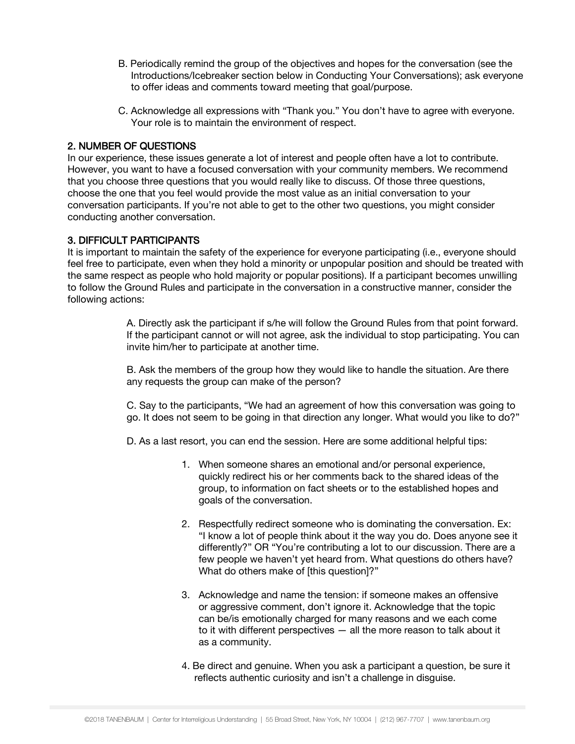- B. Periodically remind the group of the objectives and hopes for the conversation (see the Introductions/Icebreaker section below in Conducting Your Conversations); ask everyone to offer ideas and comments toward meeting that goal/purpose.
- C. Acknowledge all expressions with "Thank you." You don't have to agree with everyone. Your role is to maintain the environment of respect.

## 2. NUMBER OF QUESTIONS

In our experience, these issues generate a lot of interest and people often have a lot to contribute. However, you want to have a focused conversation with your community members. We recommend that you choose three questions that you would really like to discuss. Of those three questions, choose the one that you feel would provide the most value as an initial conversation to your conversation participants. If you're not able to get to the other two questions, you might consider conducting another conversation.

## 3. DIFFICULT PARTICIPANTS

It is important to maintain the safety of the experience for everyone participating (i.e., everyone should feel free to participate, even when they hold a minority or unpopular position and should be treated with the same respect as people who hold majority or popular positions). If a participant becomes unwilling to follow the Ground Rules and participate in the conversation in a constructive manner, consider the following actions:

> A. Directly ask the participant if s/he will follow the Ground Rules from that point forward. If the participant cannot or will not agree, ask the individual to stop participating. You can invite him/her to participate at another time.

B. Ask the members of the group how they would like to handle the situation. Are there any requests the group can make of the person?

C. Say to the participants, "We had an agreement of how this conversation was going to go. It does not seem to be going in that direction any longer. What would you like to do?"

D. As a last resort, you can end the session. Here are some additional helpful tips:

- 1. When someone shares an emotional and/or personal experience, quickly redirect his or her comments back to the shared ideas of the group, to information on fact sheets or to the established hopes and goals of the conversation.
- 2. Respectfully redirect someone who is dominating the conversation. Ex: "I know a lot of people think about it the way you do. Does anyone see it differently?" OR "You're contributing a lot to our discussion. There are a few people we haven't yet heard from. What questions do others have? What do others make of [this question]?"
- 3. Acknowledge and name the tension: if someone makes an offensive or aggressive comment, don't ignore it. Acknowledge that the topic can be/is emotionally charged for many reasons and we each come to it with different perspectives — all the more reason to talk about it as a community.
- 4. Be direct and genuine. When you ask a participant a question, be sure it reflects authentic curiosity and isn't a challenge in disguise.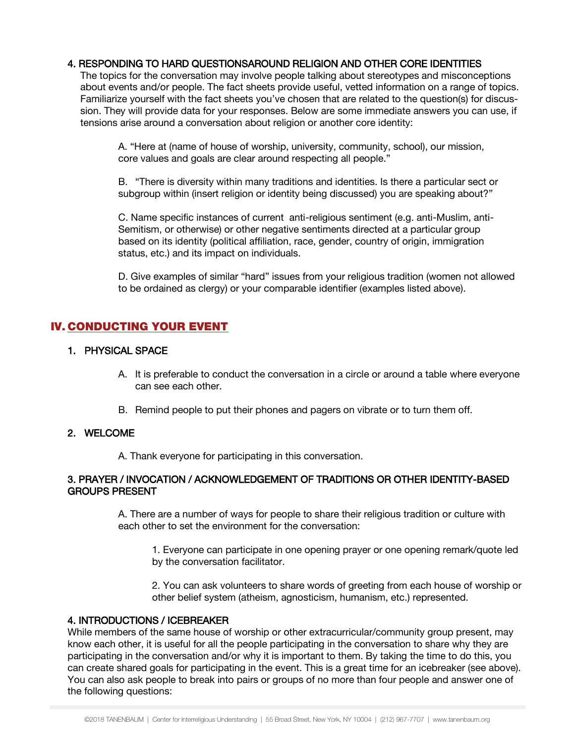## 4. RESPONDING TO HARD QUESTIONSAROUND RELIGION AND OTHER CORE IDENTITIES

The topics for the conversation may involve people talking about stereotypes and misconceptions about events and/or people. The fact sheets provide useful, vetted information on a range of topics. Familiarize yourself with the fact sheets you've chosen that are related to the question(s) for discussion. They will provide data for your responses. Below are some immediate answers you can use, if tensions arise around a conversation about religion or another core identity:

A. "Here at (name of house of worship, university, community, school), our mission, core values and goals are clear around respecting all people."

B. "There is diversity within many traditions and identities. Is there a particular sect or subgroup within (insert religion or identity being discussed) you are speaking about?"

C. Name specific instances of current anti-religious sentiment (e.g. anti-Muslim, anti-Semitism, or otherwise) or other negative sentiments directed at a particular group based on its identity (political affiliation, race, gender, country of origin, immigration status, etc.) and its impact on individuals.

D. Give examples of similar "hard" issues from your religious tradition (women not allowed to be ordained as clergy) or your comparable identifier (examples listed above).

# IV. CONDUCTING YOUR EVENT

#### 1. PHYSICAL SPACE

- A. It is preferable to conduct the conversation in a circle or around a table where everyone can see each other.
- B. Remind people to put their phones and pagers on vibrate or to turn them off.

#### 2. WELCOME

A. Thank everyone for participating in this conversation.

#### 3. PRAYER / INVOCATION / ACKNOWLEDGEMENT OF TRADITIONS OR OTHER IDENTITY-BASED GROUPS PRESENT

A. There are a number of ways for people to share their religious tradition or culture with each other to set the environment for the conversation:

1. Everyone can participate in one opening prayer or one opening remark/quote led by the conversation facilitator.

2. You can ask volunteers to share words of greeting from each house of worship or other belief system (atheism, agnosticism, humanism, etc.) represented.

#### 4. INTRODUCTIONS / ICEBREAKER

While members of the same house of worship or other extracurricular/community group present, may know each other, it is useful for all the people participating in the conversation to share why they are participating in the conversation and/or why it is important to them. By taking the time to do this, you can create shared goals for participating in the event. This is a great time for an icebreaker (see above). You can also ask people to break into pairs or groups of no more than four people and answer one of the following questions: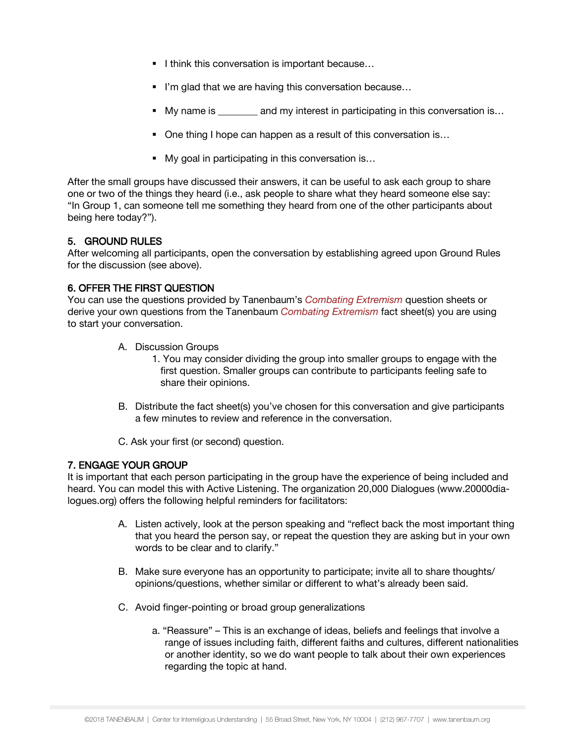- I think this conversation is important because...
- I'm glad that we are having this conversation because...
- My name is each my interest in participating in this conversation is...
- One thing I hope can happen as a result of this conversation is...
- My goal in participating in this conversation is...

After the small groups have discussed their answers, it can be useful to ask each group to share one or two of the things they heard (i.e., ask people to share what they heard someone else say: "In Group 1, can someone tell me something they heard from one of the other participants about being here today?").

## 5. GROUND RULES

After welcoming all participants, open the conversation by establishing agreed upon Ground Rules for the discussion (see above).

## 6. OFFER THE FIRST QUESTION

You can use the questions provided by Tanenbaum's *Combating Extremism* question sheets or derive your own questions from the Tanenbaum *Combating Extremism* fact sheet(s) you are using to start your conversation.

- A. Discussion Groups
	- 1. You may consider dividing the group into smaller groups to engage with the first question. Smaller groups can contribute to participants feeling safe to share their opinions.
- B. Distribute the fact sheet(s) you've chosen for this conversation and give participants a few minutes to review and reference in the conversation.

C. Ask your first (or second) question.

## 7. ENGAGE YOUR GROUP

It is important that each person participating in the group have the experience of being included and heard. You can model this with Active Listening. The organization 20,000 Dialogues (www.20000dialogues.org) offers the following helpful reminders for facilitators:

- A. Listen actively, look at the person speaking and "reflect back the most important thing that you heard the person say, or repeat the question they are asking but in your own words to be clear and to clarify."
- B. Make sure everyone has an opportunity to participate; invite all to share thoughts/ opinions/questions, whether similar or different to what's already been said.
- C. Avoid finger-pointing or broad group generalizations
	- a. "Reassure" This is an exchange of ideas, beliefs and feelings that involve a range of issues including faith, different faiths and cultures, different nationalities or another identity, so we do want people to talk about their own experiences regarding the topic at hand.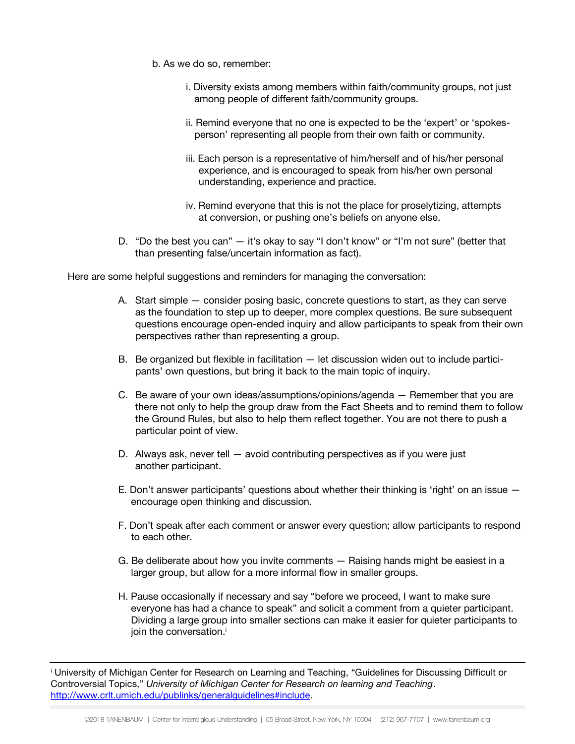- b. As we do so, remember:
	- i. Diversity exists among members within faith/community groups, not just among people of different faith/community groups.
	- ii. Remind everyone that no one is expected to be the 'expert' or 'spokesperson' representing all people from their own faith or community.
	- iii. Each person is a representative of him/herself and of his/her personal experience, and is encouraged to speak from his/her own personal understanding, experience and practice.
	- iv. Remind everyone that this is not the place for proselytizing, attempts at conversion, or pushing one's beliefs on anyone else.
- D. "Do the best you can" it's okay to say "I don't know" or "I'm not sure" (better that than presenting false/uncertain information as fact).

Here are some helpful suggestions and reminders for managing the conversation:

- A. Start simple consider posing basic, concrete questions to start, as they can serve as the foundation to step up to deeper, more complex questions. Be sure subsequent questions encourage open-ended inquiry and allow participants to speak from their own perspectives rather than representing a group.
- B. Be organized but flexible in facilitation let discussion widen out to include participants' own questions, but bring it back to the main topic of inquiry.
- C. Be aware of your own ideas/assumptions/opinions/agenda Remember that you are there not only to help the group draw from the Fact Sheets and to remind them to follow the Ground Rules, but also to help them reflect together. You are not there to push a particular point of view.
- D. Always ask, never tell avoid contributing perspectives as if you were just another participant.
- E. Don't answer participants' questions about whether their thinking is 'right' on an issue encourage open thinking and discussion.
- F. Don't speak after each comment or answer every question; allow participants to respond to each other.
- G. Be deliberate about how you invite comments Raising hands might be easiest in a larger group, but allow for a more informal flow in smaller groups.
- H. Pause occasionally if necessary and say "before we proceed, I want to make sure everyone has had a chance to speak" and solicit a comment from a quieter participant. Dividing a large group into smaller sections can make it easier for quieter participants to join the conversation.<sup>i</sup>

<sup>&</sup>lt;sup>i</sup> University of Michigan Center for Research on Learning and Teaching, "Guidelines for Discussing Difficult or Controversial Topics," *University of Michigan Center for Research on learning and Teaching*. [http://www.crlt.umich.edu/publinks/generalguidelines#include.](http://www.crlt.umich.edu/publinks/generalguidelines#include)